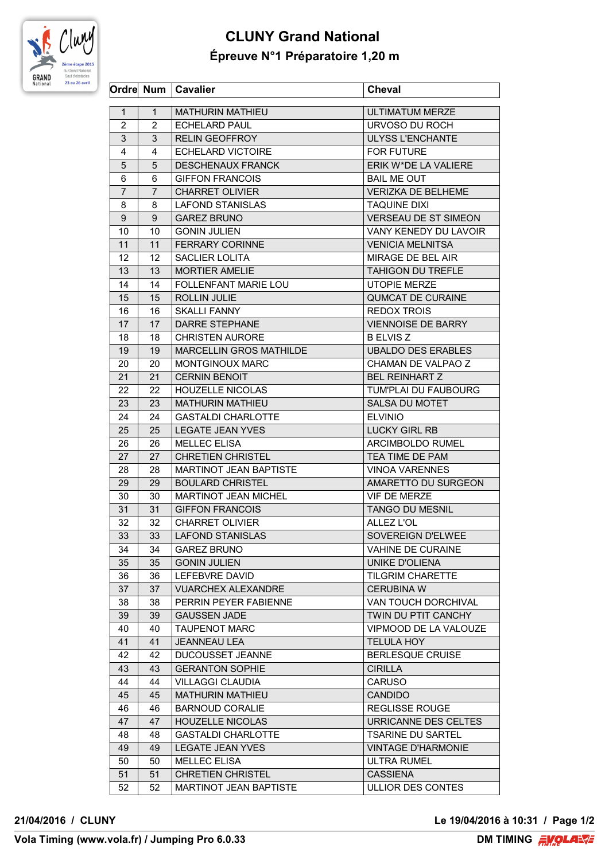

## **CLUNY Grand National Épreuve N°1 Préparatoire 1,20 m**

|                |                | Ordre Num   Cavalier          | <b>Cheval</b>               |
|----------------|----------------|-------------------------------|-----------------------------|
| $\mathbf{1}$   | $\mathbf{1}$   | <b>MATHURIN MATHIEU</b>       | <b>ULTIMATUM MERZE</b>      |
| $\overline{2}$ | 2              | <b>ECHELARD PAUL</b>          | URVOSO DU ROCH              |
| 3              | 3              | <b>RELIN GEOFFROY</b>         | <b>ULYSS L'ENCHANTE</b>     |
| 4              | 4              | <b>ECHELARD VICTOIRE</b>      | <b>FOR FUTURE</b>           |
| 5              | 5              | <b>DESCHENAUX FRANCK</b>      | ERIK W*DE LA VALIERE        |
| 6              | 6              | <b>GIFFON FRANCOIS</b>        | <b>BAIL ME OUT</b>          |
| $\overline{7}$ | $\overline{7}$ | <b>CHARRET OLIVIER</b>        | <b>VERIZKA DE BELHEME</b>   |
| 8              | 8              | <b>LAFOND STANISLAS</b>       | <b>TAQUINE DIXI</b>         |
| 9              | 9              | <b>GAREZ BRUNO</b>            | <b>VERSEAU DE ST SIMEON</b> |
| 10             | 10             | <b>GONIN JULIEN</b>           | VANY KENEDY DU LAVOIR       |
| 11             | 11             | <b>FERRARY CORINNE</b>        | <b>VENICIA MELNITSA</b>     |
| 12             | 12             | SACLIER LOLITA                | MIRAGE DE BEL AIR           |
| 13             | 13             | <b>MORTIER AMELIE</b>         | <b>TAHIGON DU TREFLE</b>    |
| 14             | 14             | <b>FOLLENFANT MARIE LOU</b>   | <b>UTOPIE MERZE</b>         |
| 15             | 15             | <b>ROLLIN JULIE</b>           | <b>QUMCAT DE CURAINE</b>    |
| 16             | 16             | <b>SKALLI FANNY</b>           | <b>REDOX TROIS</b>          |
| 17             | 17             | <b>DARRE STEPHANE</b>         | <b>VIENNOISE DE BARRY</b>   |
| 18             | 18             | <b>CHRISTEN AURORE</b>        | <b>B ELVIS Z</b>            |
| 19             | 19             | MARCELLIN GROS MATHILDE       | <b>UBALDO DES ERABLES</b>   |
| 20             | 20             | MONTGINOUX MARC               | CHAMAN DE VALPAO Z          |
| 21             | 21             | <b>CERNIN BENOIT</b>          | <b>BEL REINHART Z</b>       |
| 22             | 22             | <b>HOUZELLE NICOLAS</b>       | TUM'PLAI DU FAUBOURG        |
| 23             | 23             | <b>MATHURIN MATHIEU</b>       | SALSA DU MOTET              |
| 24             | 24             | <b>GASTALDI CHARLOTTE</b>     | <b>ELVINIO</b>              |
| 25             | 25             | <b>LEGATE JEAN YVES</b>       | <b>LUCKY GIRL RB</b>        |
| 26             | 26             | <b>MELLEC ELISA</b>           | ARCIMBOLDO RUMEL            |
| 27             | 27             | <b>CHRETIEN CHRISTEL</b>      | TEA TIME DE PAM             |
| 28             | 28             | MARTINOT JEAN BAPTISTE        | <b>VINOA VARENNES</b>       |
| 29             | 29             | <b>BOULARD CHRISTEL</b>       | AMARETTO DU SURGEON         |
| 30             | 30             | MARTINOT JEAN MICHEL          | <b>VIF DE MERZE</b>         |
| 31             | 31             | <b>GIFFON FRANCOIS</b>        | <b>TANGO DU MESNIL</b>      |
| 32             | 32             | <b>CHARRET OLIVIER</b>        | <b>ALLEZ L'OL</b>           |
| 33             | 33             | LAFOND STANISLAS              | SOVEREIGN D'ELWEE           |
| 34             | 34             | <b>GAREZ BRUNO</b>            | <b>VAHINE DE CURAINE</b>    |
| 35             | 35             | <b>GONIN JULIEN</b>           | UNIKE D'OLIENA              |
| 36             | 36             | LEFEBVRE DAVID                | <b>TILGRIM CHARETTE</b>     |
| 37             | 37             | <b>VUARCHEX ALEXANDRE</b>     | <b>CERUBINA W</b>           |
| 38             | 38             | PERRIN PEYER FABIENNE         | VAN TOUCH DORCHIVAL         |
| 39             | 39             | <b>GAUSSEN JADE</b>           | TWIN DU PTIT CANCHY         |
| 40             | 40             | <b>TAUPENOT MARC</b>          | VIPMOOD DE LA VALOUZE       |
| 41             | 41             | <b>JEANNEAU LEA</b>           | <b>TELULA HOY</b>           |
| 42             | 42             | DUCOUSSET JEANNE              | <b>BERLESQUE CRUISE</b>     |
| 43             | 43             | <b>GERANTON SOPHIE</b>        | <b>CIRILLA</b>              |
| 44             | 44             | <b>VILLAGGI CLAUDIA</b>       | <b>CARUSO</b>               |
| 45             | 45             | <b>MATHURIN MATHIEU</b>       | <b>CANDIDO</b>              |
| 46             | 46             | <b>BARNOUD CORALIE</b>        | <b>REGLISSE ROUGE</b>       |
| 47             | 47             | <b>HOUZELLE NICOLAS</b>       | URRICANNE DES CELTES        |
| 48             | 48             | <b>GASTALDI CHARLOTTE</b>     | <b>TSARINE DU SARTEL</b>    |
| 49             | 49             | <b>LEGATE JEAN YVES</b>       | <b>VINTAGE D'HARMONIE</b>   |
| 50             | 50             | <b>MELLEC ELISA</b>           | <b>ULTRA RUMEL</b>          |
| 51             | 51             | <b>CHRETIEN CHRISTEL</b>      | <b>CASSIENA</b>             |
| 52             | 52             | <b>MARTINOT JEAN BAPTISTE</b> | ULLIOR DES CONTES           |
|                |                |                               |                             |

**21/04/2016 / CLUNY Le 19/04/2016 à 10:31 / Page 1/2**